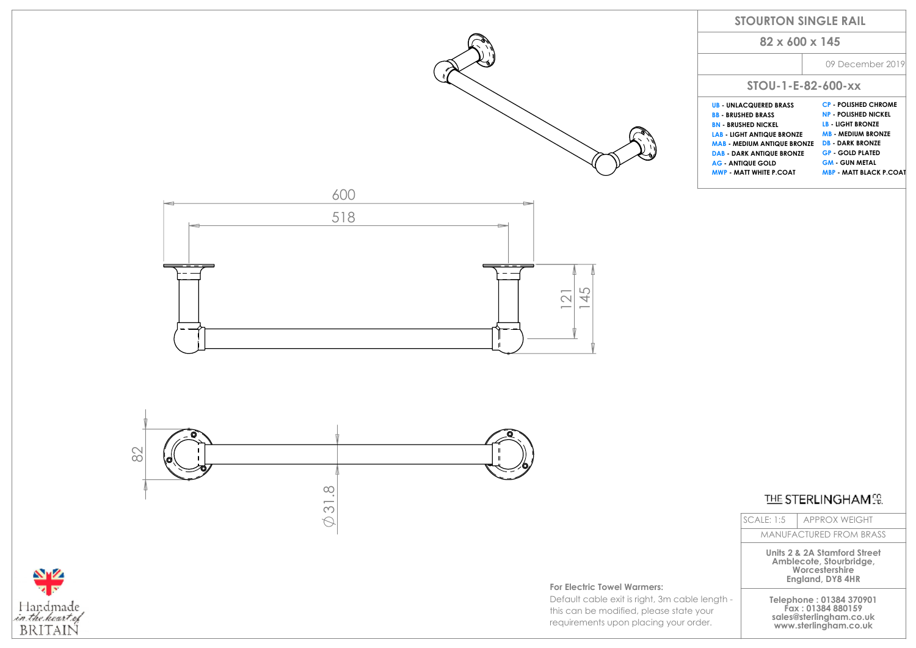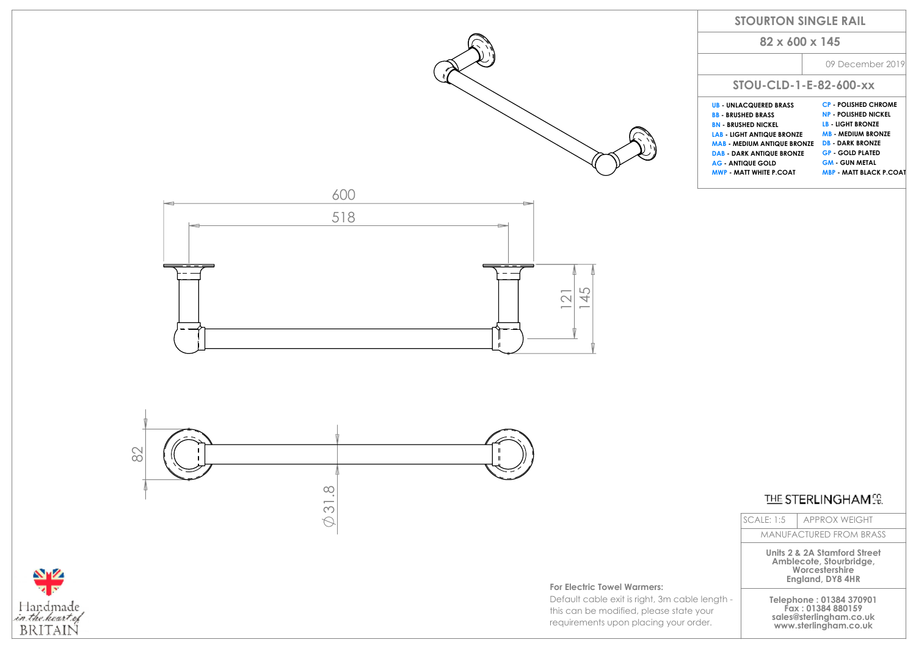